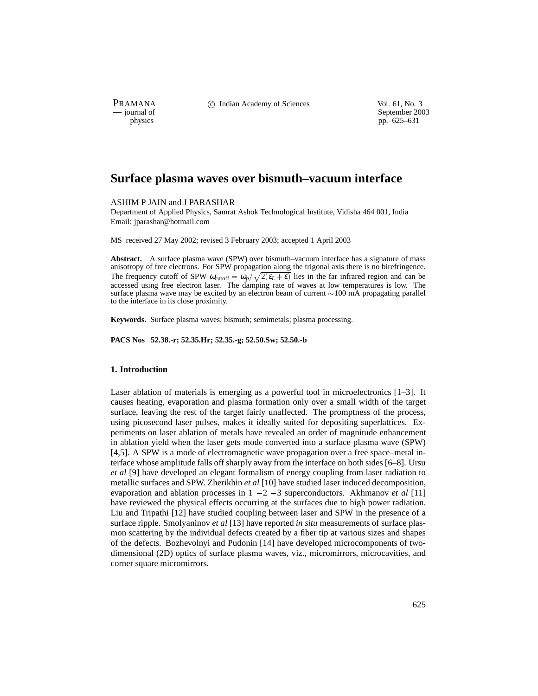PRAMANA C Indian Academy of Sciences Vol. 61, No. 3<br>
— journal of September 200

physics<br>
a physics<br>
pp. 625–631<br>
pp. 625–631 pp. 625–631

# **Surface plasma waves over bismuth–vacuum interface**

ASHIM P JAIN and J PARASHAR

Department of Applied Physics, Samrat Ashok Technological Institute, Vidisha 464 001, India Email: jparashar@hotmail.com

MS received 27 May 2002; revised 3 February 2003; accepted 1 April 2003

**Abstract.** A surface plasma wave (SPW) over bismuth–vacuum interface has a signature of mass anisotropy of free electrons. For SPW propagation along the trigonal axis there is no birefringence. The frequency cutoff of SPW  $\omega_{\text{cutoff}} = \omega_p / \sqrt{2(\epsilon_L + \epsilon)}$  lies in the far infrared region and can be accessed using free electron laser. The damping rate of waves at low temperatures is low. The surface plasma wave may be excited by an electron beam of current  $\sim 100$  mA propagating parallel to the interface in its close proximity.

**Keywords.** Surface plasma waves; bismuth; semimetals; plasma processing.

**PACS Nos 52.38.-r; 52.35.Hr; 52.35.-g; 52.50.Sw; 52.50.-b**

# **1. Introduction**

Laser ablation of materials is emerging as a powerful tool in microelectronics [1–3]. It causes heating, evaporation and plasma formation only over a small width of the target surface, leaving the rest of the target fairly unaffected. The promptness of the process, using picosecond laser pulses, makes it ideally suited for depositing superlattices. Experiments on laser ablation of metals have revealed an order of magnitude enhancement in ablation yield when the laser gets mode converted into a surface plasma wave (SPW) [4,5]. A SPW is a mode of electromagnetic wave propagation over a free space–metal interface whose amplitude falls off sharply away from the interface on both sides [6–8]. Ursu *et al* [9] have developed an elegant formalism of energy coupling from laser radiation to metallic surfaces and SPW. Zherikhin *et al* [10] have studied laser induced decomposition, evaporation and ablation processes in  $1 - 2 - 3$  superconductors. Akhmanov *et al* [11] have reviewed the physical effects occurring at the surfaces due to high power radiation. Liu and Tripathi [12] have studied coupling between laser and SPW in the presence of a surface ripple. Smolyaninov *et al* [13] have reported *in situ* measurements of surface plasmon scattering by the individual defects created by a fiber tip at various sizes and shapes of the defects. Bozhevolnyi and Pudonin [14] have developed microcomponents of twodimensional (2D) optics of surface plasma waves, viz., micromirrors, microcavities, and corner square micromirrors.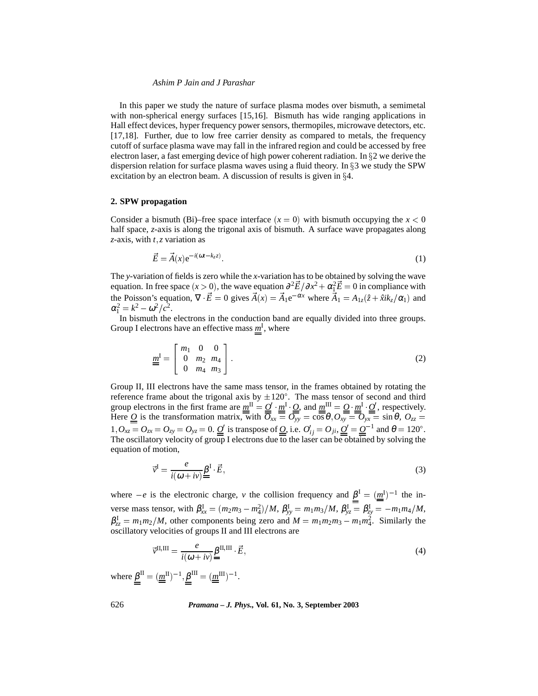#### *Ashim P Jain and J Parashar*

In this paper we study the nature of surface plasma modes over bismuth, a semimetal with non-spherical energy surfaces [15,16]. Bismuth has wide ranging applications in Hall effect devices, hyper frequency power sensors, thermopiles, microwave detectors, etc. [17,18]. Further, due to low free carrier density as compared to metals, the frequency cutoff of surface plasma wave may fall in the infrared region and could be accessed by free electron laser, a fast emerging device of high power coherent radiation. In  $\S 2$  we derive the dispersion relation for surface plasma waves using a fluid theory. In  $\S 3$  we study the SPW excitation by an electron beam. A discussion of results is given in  $\S 4$ .

# **2. SPW propagation**

Consider a bismuth (Bi)–free space interface  $(x = 0)$  with bismuth occupying the  $x < 0$ half space, *z*-axis is along the trigonal axis of bismuth. A surface wave propagates along *z*-axis, with *t*, *z* variation as

$$
\vec{E} = \vec{A}(x) e^{-i(\omega t - k_z z)}.
$$
\n(1)

The *y*-variation of fields is zero while the *x*-variation has to be obtained by solving the wave equation. In free space  $(x > 0)$ , the wave equation  $\partial^2 \vec{E} / \partial x^2 + \alpha_1^2 \vec{E} = 0$  in compliance with the Poisson's equation,  $\nabla \cdot \vec{E} = 0$  gives  $\vec{A}(x) = \vec{A}_1 e^{-\alpha x}$  where  $\vec{A}_1 = A_{1z}(\hat{z} + \hat{x} i k_z/\alpha_1)$  and  $\alpha_1^2 = k^2 - \omega^2/c^2$ .

In bismuth the electrons in the conduction band are equally divided into three groups. Group I electrons have an effective mass  $m<sup>I</sup>$ , where

$$
\underline{\underline{m}}^{\mathrm{I}} = \begin{bmatrix} m_1 & 0 & 0 \\ 0 & m_2 & m_4 \\ 0 & m_4 & m_3 \end{bmatrix} . \tag{2}
$$

Group II, III electrons have the same mass tensor, in the frames obtained by rotating the reference frame about the trigonal axis by  $\pm 120^{\circ}$ . The mass tensor of second and third group electrons in the first frame are  $m^{\text{II}} = Q' \cdot m^{\text{I}} Q$ , and  $m^{\text{III}} = Q \cdot m^{\text{I}} Q'$ , respectively. Here <u>O</u> is the transformation matrix, with  $\overline{O}_{xx} = O_{yy} = \cos \theta, O_{xy} = O_{yx} = \sin \theta, O_{zz} = \frac{1}{2}$  $1, O_{xz} = O_{zx} = O_{zy} = O_{yz} = 0.$   $\underline{O}'$  is transpose of  $\underline{O}$ , i.e.  $O'_{ij} = O_{ji}$ ,  $\underline{O}' = \underline{O}^{-1}$  and  $\theta = 120^\circ$ . The oscillatory velocity of group I electrons due to the laser can be obtained by solving the equation of motion,

$$
\vec{v}^{\mathcal{I}} = \frac{e}{i(\omega + iv)} \underline{\beta}^{\mathcal{I}} \cdot \vec{E},\tag{3}
$$

where  $-e$  is the electronic charge, *v* the collision frequency and  $\beta^I = (\underline{m}^I)^{-1}$  the in- $\gamma_{yx} = \frac{m_1 m_3}{m_1 m_2 m_3 - m_1^2}$   $\gamma_{yx} = \frac{m_1 m_3}{M}$ ,  $\beta_{yx}^I = \beta_{xy}^I = \frac{m_1 m_4}{M}$ ,  $\beta_{zz}^I = m_1 m_2 / M$ , other components being zero and  $M = m_1 m_2 m_3 - m_1 m_4^2$ . Similarly the oscillatory velocities of groups II and III electrons are

$$
\vec{v}^{\text{II,III}} = \frac{e}{i(\omega + iv)} \underline{\beta}^{\text{II,III}} \cdot \vec{E},\tag{4}
$$

where  $\beta^{\text{II}} = (\underline{m}^{\text{II}})^{-1}, \beta^{\text{III}} = (\underline{m}^{\text{III}})^{-1}.$ 

626 *Pramana – J. Phys.,* **Vol. 61, No. 3, September 2003**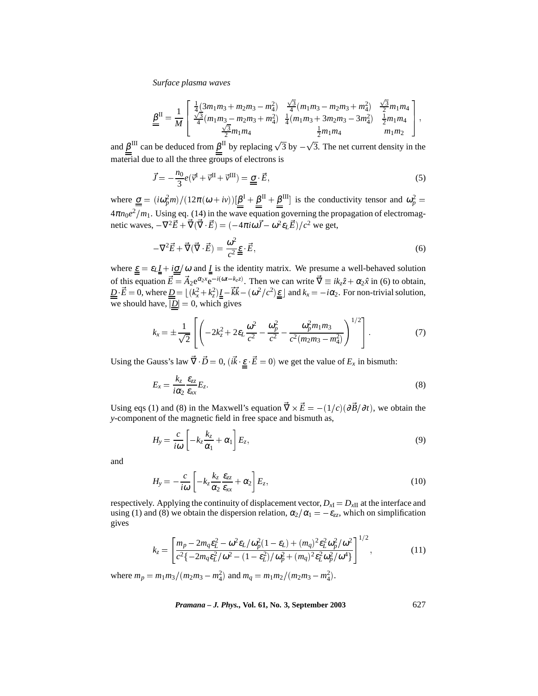*Surface plasma waves*

$$
\underline{\underline{\beta}}^{II} = \frac{1}{M} \begin{bmatrix} \frac{1}{4} (3m_1m_3 + m_2m_3 - m_4^2) & \frac{\sqrt{3}}{4} (m_1m_3 - m_2m_3 + m_4^2) & \frac{\sqrt{3}}{2} m_1m_4 \\ \frac{\sqrt{3}}{4} (m_1m_3 - m_2m_3 + m_4^2) & \frac{1}{4} (m_1m_3 + 3m_2m_3 - 3m_4^2) & \frac{1}{2} m_1m_4 \\ \frac{\sqrt{3}}{2} m_1m_4 & \frac{1}{2} m_1m_4 & m_1m_2 \end{bmatrix},
$$

and  $\beta^{\text{III}}$  can be deduced from  $\beta^{\text{II}}$  by replacing  $\sqrt{3}$  by  $-\sqrt{3}$ . The net current density in the material due to all the three groups of electrons is

$$
\vec{J} = -\frac{n_0}{3}e(\vec{v}^{\mathrm{I}} + \vec{v}^{\mathrm{II}} + \vec{v}^{\mathrm{III}}) = \underline{\underline{\sigma}} \cdot \vec{E},\tag{5}
$$

where  $\underline{\underline{\sigma}} = (i\omega_p^2 m)/(12\pi(\omega + i\nu))[\underline{\beta}^I + \underline{\beta}^{II} + \underline{\beta}^{III}]$  is the conductivity tensor and  $\omega_p^2 =$  $4\pi n_0e^2/m_1$ . Using eq. (14) in the wave equation governing the propagation of electromagnetic waves,  $-\nabla^2 \vec{E} + \vec{\nabla}(\vec{\nabla} \cdot \vec{E}) = (-4\pi i \omega \vec{J} - \omega^2 \varepsilon_L \vec{E})/c^2$  we get,

$$
-\nabla^2 \vec{E} + \vec{\nabla}(\vec{\nabla} \cdot \vec{E}) = \frac{\omega^2}{c^2} \underline{\underline{\epsilon}} \cdot \vec{E},\tag{6}
$$

where  $\underline{\varepsilon} = \varepsilon_L \underline{I} + i \underline{\sigma}/\omega$  and  $\underline{I}$  is the identity matrix. We presume a well-behaved solution of this equation  $\vec{E} = \vec{A}_2 e^{\alpha_2 x} e^{-i(\omega t - k_z z)}$ . Then we can write  $\vec{\nabla} \equiv i k_z \hat{z} + \alpha_2 \hat{x}$  in (6) to obtain,  $\underline{D} \cdot \vec{E} = 0$ , where  $\underline{D} = \lfloor (k_x^2 + k_z^2) \underline{I} - \vec{k} \vec{k} - (\omega^2/c^2) \underline{\epsilon} \rfloor$  and  $k_x = -i\alpha_2$ . For non-trivial solution, we should have,  $|\underline{D}| = 0$ , which gives

$$
k_x = \pm \frac{1}{\sqrt{2}} \left[ \left( -2k_z^2 + 2\varepsilon_L \frac{\omega^2}{c^2} - \frac{\omega_p^2}{c^2} - \frac{\omega_p^2 m_1 m_3}{c^2 (m_2 m_3 - m_4^2)} \right)^{1/2} \right].
$$
 (7)

Using the Gauss's law  $\nabla \cdot \vec{D} = 0$ ,  $(i\vec{k} \cdot \vec{\epsilon} - \vec{E} = 0)$  we get the value of  $E_x$  in bismuth:

$$
E_x = \frac{k_z}{i\alpha_2} \frac{\varepsilon_{zz}}{\varepsilon_{xx}} E_z.
$$
 (8)

Using eqs (1) and (8) in the Maxwell's equation  $\nabla \times \vec{E} = -(1/c)(\partial \vec{B}/\partial t)$ , we obtain the *y*-component of the magnetic field in free space and bismuth as,

$$
H_{y} = \frac{c}{i\omega} \left[ -k_{z} \frac{k_{z}}{\alpha_{1}} + \alpha_{1} \right] E_{z}, \qquad (9)
$$

and

$$
H_{y} = -\frac{c}{i\omega} \left[ -k_{z} \frac{k_{z}}{\alpha_{2}} \frac{\varepsilon_{zz}}{\varepsilon_{xx}} + \alpha_{2} \right] E_{z}, \qquad (10)
$$

respectively. Applying the continuity of displacement vector,  $D_{xI} = D_{xII}$  at the interface and using (1) and (8) we obtain the dispersion relation,  $\alpha_2/\alpha_1 = -\varepsilon_{zz}$ , which on simplification gives

$$
k_z = \left[ \frac{m_p - 2m_q \varepsilon_L^2 - \omega^2 \varepsilon_L / \omega_p^2 (1 - \varepsilon_L) + (m_q)^2 \varepsilon_L^2 \omega_p^2 / \omega^2}{c^2 \left\{ -2m_q \varepsilon_L^2 / \omega^2 - (1 - \varepsilon_L^2) / \omega_p^2 + (m_q)^2 \varepsilon_L^2 \omega_p^2 / \omega^4 \right\}} \right]^{1/2},\tag{11}
$$

where  $m_p = m_1 m_3 / (m_2 m_3 - m_4^2)$  and  $m_q = m_1 m_2 / (m_2 m_3 - m_4^2)$ .

*Pramana – J. Phys.,* **Vol. 61, No. 3, September 2003** 627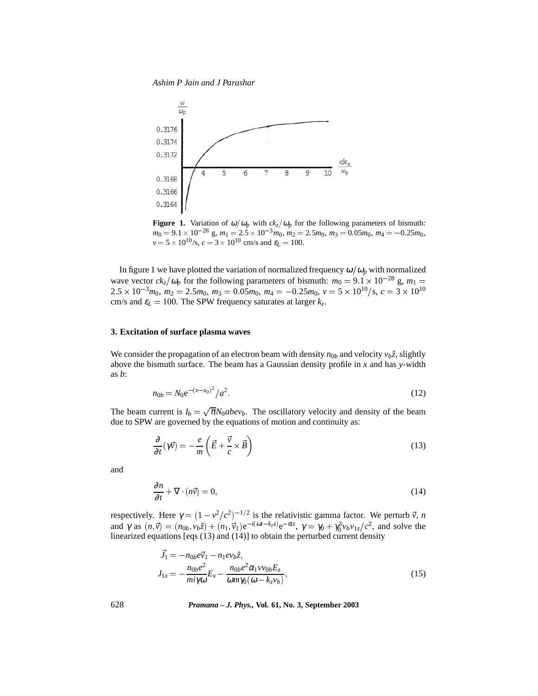*Ashim P Jain and J Parashar*



**Figure 1.** Variation of  $\omega/\omega_p$  with  $ck_z/\omega_p$  for the following parameters of bismuth:  $m_0 = 9.1 \times 10^{-28}$  g,  $m_1 = 2.5 \times 10^{-3}$  $m_0$ ,  $m_2 = 2.5m_0$ ,  $m_3 = 0.05m_0$ ,  $m_4 = -0.25m_0$ ,  $v = 5 \times 10^{10}$ /s,  $c = 3 \times 10^{10}$  cm/s and  $\varepsilon_L = 100$ .

In figure 1 we have plotted the variation of normalized frequency  $\omega/\omega_p$  with normalized wave vector  $ck_z/\omega_p$  for the following parameters of bismuth:  $m_0 = 9.1 \times 10^{-28}$  g,  $m_1 =$  $2.5 \times 10^{-3} m_0$ ,  $m_2 = 2.5 m_0$ ,  $m_3 = 0.05 m_0$ ,  $m_4 = -0.25 m_0$ ,  $v = 5 \times 10^{10} / s$ ,  $c = 3 \times 10^{10}$ cm/s and  $\varepsilon_L = 100$ . The SPW frequency saturates at larger  $k_z$ .

# **3. Excitation of surface plasma waves**

We consider the propagation of an electron beam with density  $n_{0b}$  and velocity  $v_b\hat{z}$ , slightly above the bismuth surface. The beam has a Gaussian density profile in *x* and has *y*-width as *b*:

$$
n_{0b} = N_0 e^{-(x-x_0)^2} / a^2.
$$
 (12)

The beam current is  $I_b = \sqrt{\pi} N_0 abev_b$ . The oscillatory velocity and density of the beam due to SPW are governed by the equations of motion and continuity as:

$$
\frac{\partial}{\partial t}(\gamma \vec{v}) = -\frac{e}{m} \left( \vec{E} + \frac{\vec{v}}{c} \times \vec{B} \right)
$$
(13)

and

$$
\frac{\partial n}{\partial t} + \nabla \cdot (n\vec{v}) = 0,\tag{14}
$$

respectively. Here  $\gamma = (1 - v^2/c^2)^{-1/2}$  is the relativistic gamma factor. We perturb  $\vec{v}$ , *n* and  $\gamma$  as  $(n, \vec{v}) = (n_{0b}, v_b \hat{z}) + (n_1, \vec{v}_1)e^{-i(\omega t - k_z z)}e^{-\alpha z}$ ,  $\gamma = \gamma_0 + \gamma_0^3 v_b v_{1z}/c^2$ , and solve the linearized equations [eqs (13) and (14)] to obtain the perturbed current density

$$
\vec{J}_1 = -n_{0b}e\vec{v}_1 - n_1e\nu_b\hat{z},
$$
\n
$$
J_{1x} = -\frac{n_{0b}e^2}{mi\gamma\omega}E_x - \frac{n_{0b}e^2\alpha_1\nu\nu_{0b}E_z}{\omega m\gamma_0(\omega - k_z\nu_b)},
$$
\n(15)

628 *Pramana – J. Phys.,* **Vol. 61, No. 3, September 2003**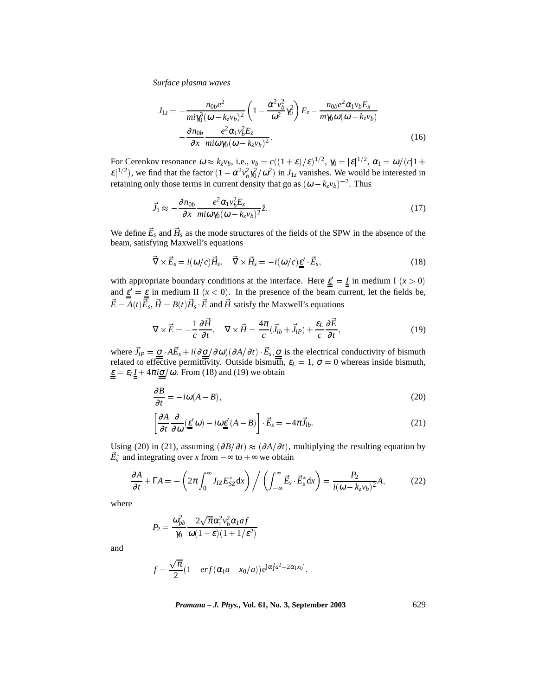*Surface plasma waves*

$$
J_{1z} = -\frac{n_{0b}e^2}{mi\gamma_0^3(\omega - k_z v_b)^2} \left(1 - \frac{\alpha^2 v_b^2}{\omega^2} \gamma_0^2\right) E_z - \frac{n_{0b}e^2 \alpha_1 v_b E_x}{m\gamma_0 \omega(\omega - k_z v_b)} - \frac{\partial n_{0b}}{\partial x} \frac{e^2 \alpha_1 v_b^2 E_z}{mi\omega\gamma_0(\omega - k_z v_b)^2}.
$$
\n(16)

For Cerenkov resonance  $\omega \approx k_z v_b$ , i.e.,  $v_b = c((1+\varepsilon)/\varepsilon)^{1/2}$ ,  $\gamma_0 = |\varepsilon|^{1/2}$ ,  $\alpha_1 = \omega/(c|1+\varepsilon|)$  $\epsilon^{1/2}$ ), we find that the factor  $(1 - \alpha^2 v_b^2)^2 \frac{\partial}{\partial \theta^2}$  in  $J_{1z}$  vanishes. We would be interested in retaining only those terms in current density that go as  $(\omega - k_z v_b)^{-2}$ . Thus

$$
\vec{J}_1 \approx -\frac{\partial n_{0b}}{\partial x} \frac{e^2 \alpha_1 v_b^2 E_z}{m i \omega \gamma_0 (\omega - k_z v_b)^2} \hat{z}.
$$
\n(17)

We define  $\vec{E}_s$  and  $\vec{H}_s$  as the mode structures of the fields of the SPW in the absence of the beam, satisfying Maxwell's equations

$$
\vec{\nabla} \times \vec{E}_s = i(\omega/c)\vec{H}_s, \quad \vec{\nabla} \times \vec{H}_s = -i(\omega/c)\underline{\underline{\epsilon}}' \cdot \vec{E}_s,
$$
\n(18)

with appropriate boundary conditions at the interface. Here  $\underline{\varepsilon}' = \underline{I}$  in medium I  $(x > 0)$ and  $\underline{\varepsilon}' = \underline{\varepsilon}$  in medium II  $(x < 0)$ . In the presence of the beam current, let the fields be,  $\vec{E} = A(t)\vec{E}_s$ ,  $\vec{H} = B(t)\vec{H}_s$   $\vec{E}$  and  $\vec{H}$  satisfy the Maxwell's equations

$$
\nabla \times \vec{E} = -\frac{1}{c} \frac{\partial \vec{H}}{\partial t}, \quad \nabla \times \vec{H} = \frac{4\pi}{c} (\vec{J}_{lb} + \vec{J}_{lp}) + \frac{\varepsilon_L}{c} \frac{\partial \vec{E}}{\partial t}, \tag{19}
$$

where  $\vec{J}_{IP} = \underline{\sigma} \cdot A \vec{E}_s + i(\partial \underline{\sigma}/\partial \omega)(\partial A/\partial t) \cdot \vec{E}_s, \underline{\sigma}$  is the electrical conductivity of bismuth related to effective permittivity. Outside bismuth,  $\varepsilon_L = 1$ ,  $\sigma = 0$  whereas inside bismuth,  $\underline{\varepsilon} = \varepsilon_L \underline{I} + 4\pi i \underline{\sigma}/\omega$ . From (18) and (19) we obtain

$$
\frac{\partial B}{\partial t} = -i\omega(A - B),\tag{20}
$$

$$
\left[\frac{\partial A}{\partial t} \frac{\partial}{\partial \omega} (\underline{\epsilon}' \omega) - i \omega \underline{\epsilon}' (A - B) \right] \cdot \vec{E}_s = -4\pi \vec{J}_{lb}.
$$
\n(21)

Using (20) in (21), assuming  $\left(\frac{\partial B}{\partial t}\right) \approx \left(\frac{\partial A}{\partial t}\right)$ , multiplying the resulting equation by  $\vec{E}_s^*$  and integrating over *x* from  $-\infty$  to  $+\infty$  we obtain

$$
\frac{\partial A}{\partial t} + \Gamma A = -\left(2\pi \int_0^\infty J_{IZ} E_{SZ}^* dx\right) / \left(\int_{-\infty}^\infty \vec{E}_s \cdot \vec{E}_s^* dx\right) = \frac{P_2}{i(\omega - k_z v_b)^2} A,\tag{22}
$$

where

$$
P_2 = \frac{\omega_{pb}^2}{\gamma_0} \frac{2\sqrt{\pi}\alpha_1^2 v_b^2 \alpha_1 af}{\omega(1-\varepsilon)(1+1/\varepsilon^2)}
$$

and

$$
f = \frac{\sqrt{\pi}}{2}(1 - erf(\alpha_1 a - x_0/a))e^{[\alpha_1^2 a^2 - 2\alpha_1 x_0]}.
$$

*Pramana – J. Phys.,* **Vol. 61, No. 3, September 2003** 629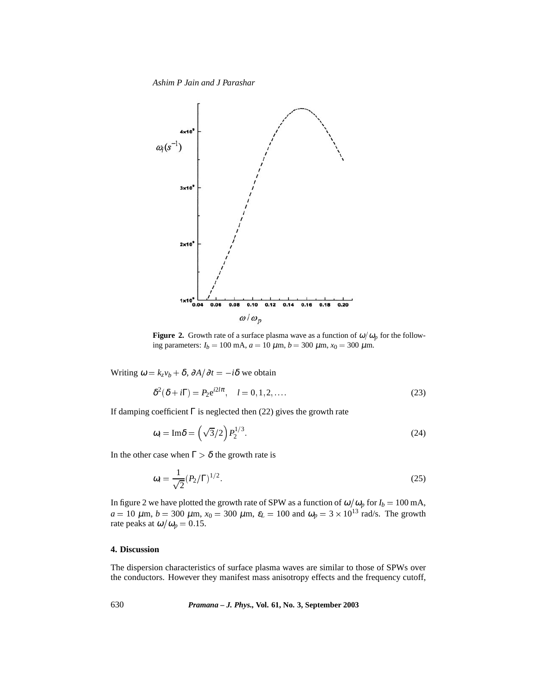*Ashim P Jain and J Parashar*



**Figure 2.** Growth rate of a surface plasma wave as a function of  $\omega/\omega_p$  for the following parameters:  $I_b = 100 \text{ mA}$ ,  $a = 10 \mu \text{m}$ ,  $b = 300 \mu \text{m}$ ,  $x_0 = 300 \mu \text{m}$ .

Writing  $\omega = k_z v_b + \delta$ ,  $\partial A / \partial t = -i \delta$  we obtain

$$
\delta^2(\delta + i\Gamma) = P_2 e^{i2l\pi}, \quad l = 0, 1, 2, \dots
$$
\n<sup>(23)</sup>

If damping coefficient  $\Gamma$  is neglected then (22) gives the growth rate

$$
\omega_i = \text{Im}\delta = \left(\sqrt{3}/2\right) P_2^{1/3}.\tag{24}
$$

In the other case when  $\Gamma > \delta$  the growth rate is

$$
\omega_i = \frac{1}{\sqrt{2}} (P_2/\Gamma)^{1/2}.
$$
 (25)

In figure 2 we have plotted the growth rate of SPW as a function of  $\omega/\omega_p$  for  $I_b = 100$  mA,  $a = 10 \ \mu \text{m}, b = 300 \ \mu \text{m}, x_0 = 300 \ \mu \text{m}, \ \varepsilon_L = 100 \ \text{and} \ \omega_p = 3 \times 10^{13} \ \text{rad/s}.$  The growth rate peaks at  $\omega/\omega_p = 0.15$ .

#### **4. Discussion**

The dispersion characteristics of surface plasma waves are similar to those of SPWs over the conductors. However they manifest mass anisotropy effects and the frequency cutoff,

630 *Pramana – J. Phys.,* **Vol. 61, No. 3, September 2003**